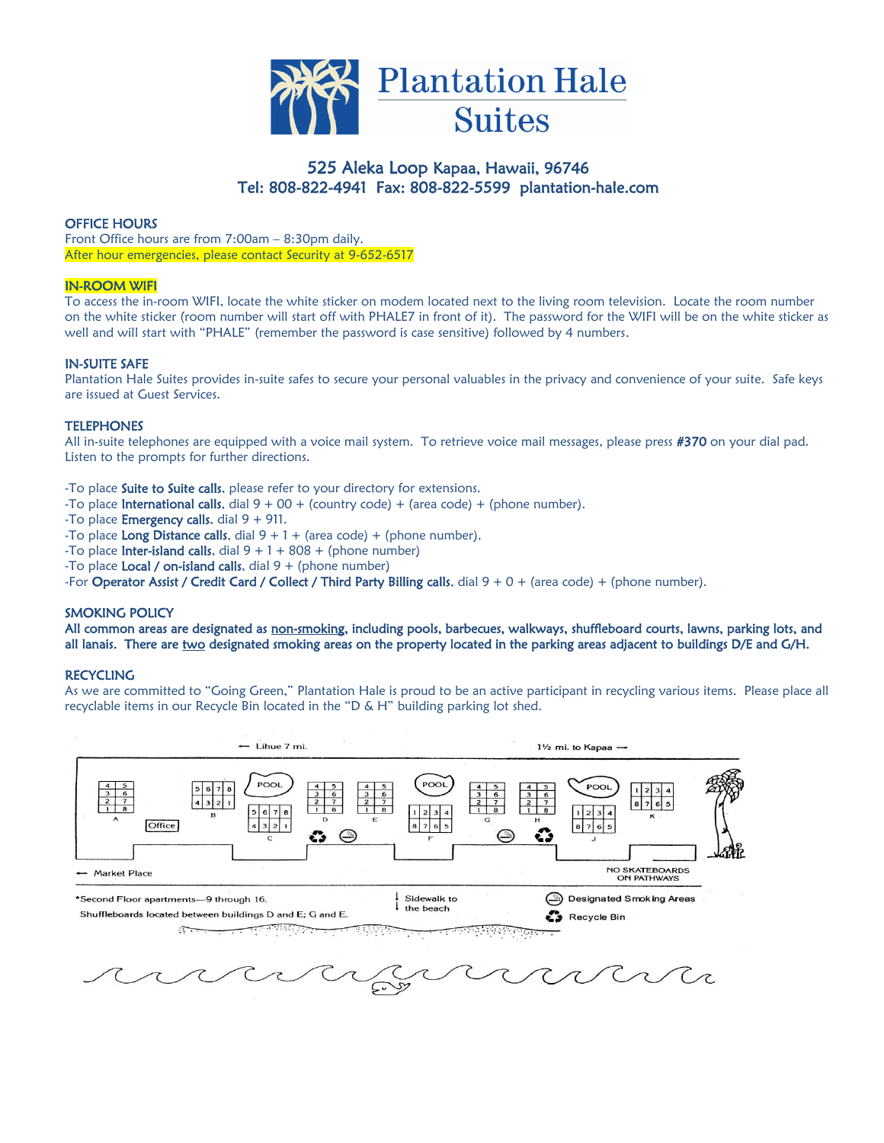

# 525 Aleka Loop Kapaa, Hawaii, 96746 Tel: 808-822-4941 Fax: 808-822-5599 plantation-hale.com

# OFFICE HOURS

Front Office hours are from 7:00am – 8:30pm daily. After hour emergencies, please contact Security at 9-652-6517

# IN-ROOM WIFI

To access the in-room WIFI, locate the white sticker on modem located next to the living room television. Locate the room number on the white sticker (room number will start off with PHALE7 in front of it). The password for the WIFI will be on the white sticker as well and will start with "PHALE" (remember the password is case sensitive) followed by 4 numbers.

# IN-SUITE SAFE

Plantation Hale Suites provides in-suite safes to secure your personal valuables in the privacy and convenience of your suite. Safe keys are issued at Guest Services.

#### **TELEPHONES**

All in-suite telephones are equipped with a voice mail system. To retrieve voice mail messages, please press #370 on your dial pad. Listen to the prompts for further directions.

-To place **Suite to Suite calls**, please refer to your directory for extensions.

-To place **International calls**, dial  $9 + 00 +$  (country code) + (area code) + (phone number).

-To place **Emergency calls**, dial  $9 + 911$ .

-To place Long Distance calls, dial  $9 + 1 +$  (area code) + (phone number).

-To place **Inter-island calls**, dial  $9 + 1 + 808 +$  (phone number)

-To place **Local / on-island calls**, dial  $9 +$  (phone number)

-For Operator Assist / Credit Card / Collect / Third Party Billing calls, dial  $9 + 0 + ($ area code) + (phone number).

# SMOKING POLICY

All common areas are designated as non-smoking, including pools, barbecues, walkways, shuffleboard courts, lawns, parking lots, and all lanais. There are two designated smoking areas on the property located in the parking areas adjacent to buildings D/E and G/H.

# **RECYCLING**

As we are committed to "Going Green," Plantation Hale is proud to be an active participant in recycling various items. Please place all recyclable items in our Recycle Bin located in the "D & H" building parking lot shed.